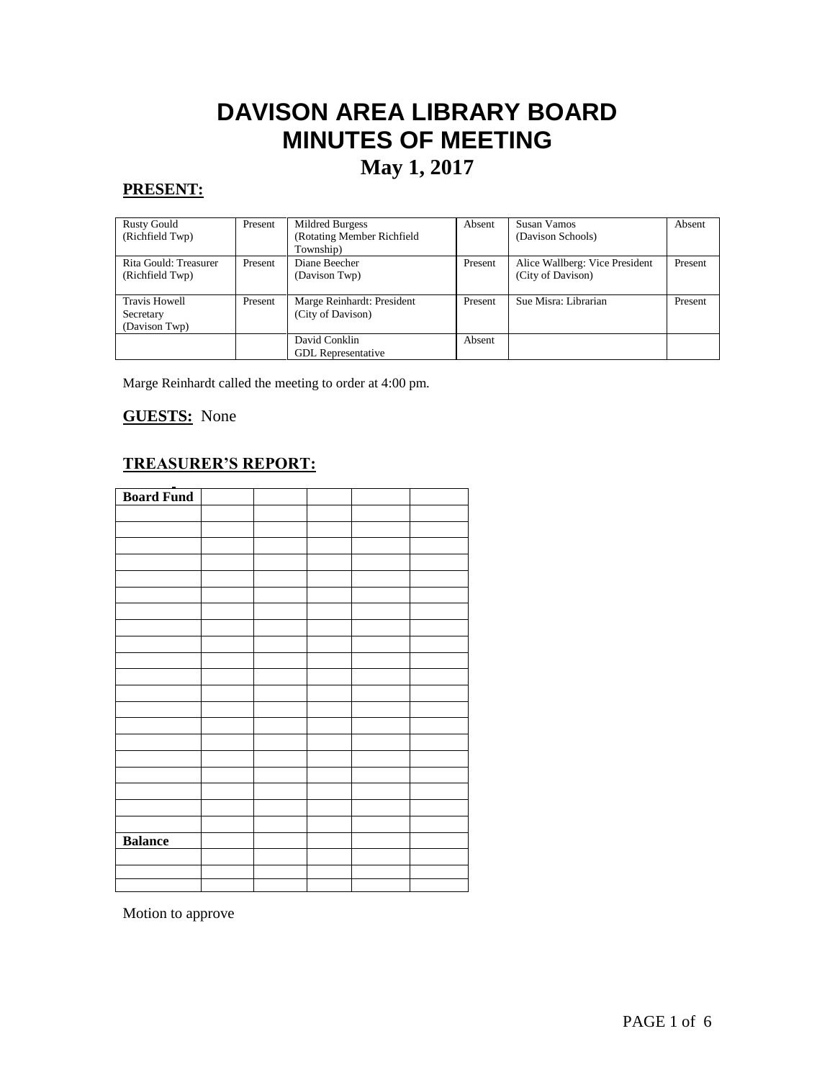# **DAVISON AREA LIBRARY BOARD MINUTES OF MEETING**

# **May 1, 2017**

# **PRESENT:**

| <b>Rusty Gould</b><br>(Richfield Twp)              | Present | Mildred Burgess<br>(Rotating Member Richfield<br>Township) | Absent  | Susan Vamos<br>(Davison Schools)                    | Absent  |
|----------------------------------------------------|---------|------------------------------------------------------------|---------|-----------------------------------------------------|---------|
| Rita Gould: Treasurer<br>(Richfield Twp)           | Present | Diane Beecher<br>(Davison Twp)                             | Present | Alice Wallberg: Vice President<br>(City of Davison) | Present |
| <b>Travis Howell</b><br>Secretary<br>(Davison Twp) | Present | Marge Reinhardt: President<br>(City of Davison)            | Present | Sue Misra: Librarian                                | Present |
|                                                    |         | David Conklin<br><b>GDL</b> Representative                 | Absent  |                                                     |         |

Marge Reinhardt called the meeting to order at 4:00 pm.

# **GUESTS:** None

# **TREASURER'S REPORT:**

| <b>Board Fund</b> |  |  |  |
|-------------------|--|--|--|
|                   |  |  |  |
|                   |  |  |  |
|                   |  |  |  |
|                   |  |  |  |
|                   |  |  |  |
|                   |  |  |  |
|                   |  |  |  |
|                   |  |  |  |
|                   |  |  |  |
|                   |  |  |  |
|                   |  |  |  |
|                   |  |  |  |
|                   |  |  |  |
|                   |  |  |  |
|                   |  |  |  |
|                   |  |  |  |
|                   |  |  |  |
|                   |  |  |  |
|                   |  |  |  |
|                   |  |  |  |
|                   |  |  |  |
| <b>Balance</b>    |  |  |  |
|                   |  |  |  |
|                   |  |  |  |
|                   |  |  |  |

Motion to approve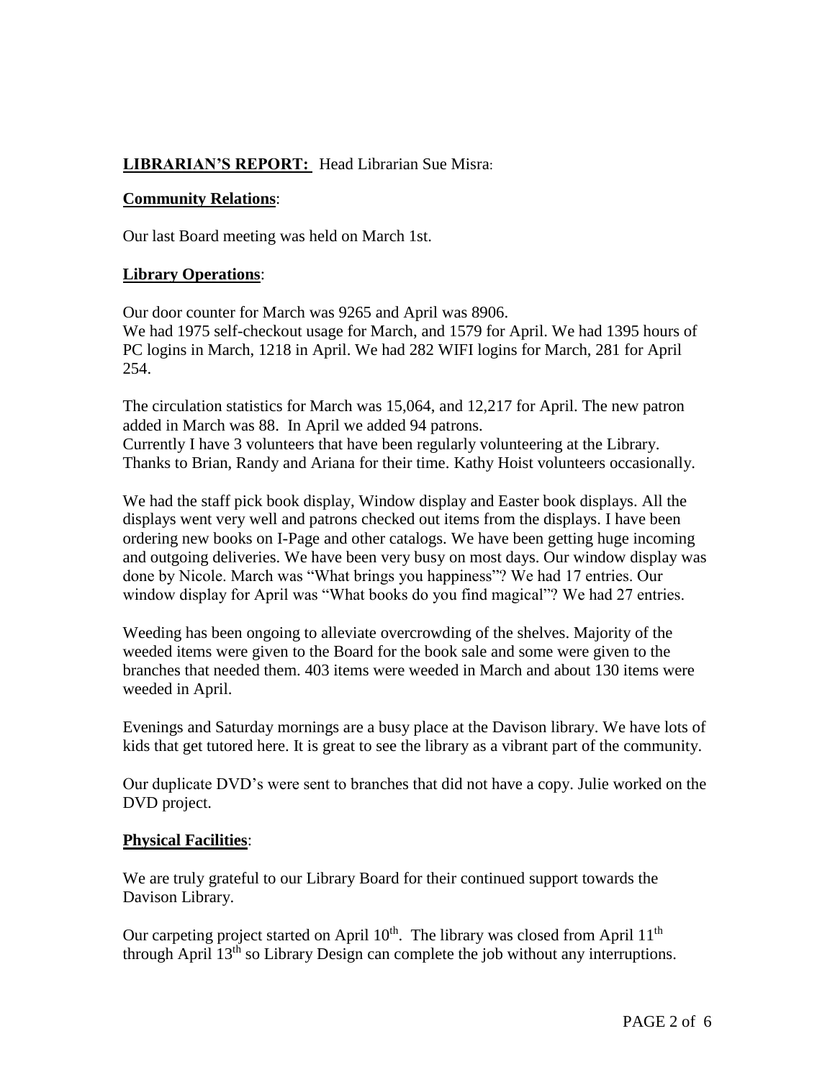# **LIBRARIAN'S REPORT:** Head Librarian Sue Misra:

#### **Community Relations**:

Our last Board meeting was held on March 1st.

#### **Library Operations**:

Our door counter for March was 9265 and April was 8906. We had 1975 self-checkout usage for March, and 1579 for April. We had 1395 hours of PC logins in March, 1218 in April. We had 282 WIFI logins for March, 281 for April 254.

The circulation statistics for March was 15,064, and 12,217 for April. The new patron added in March was 88. In April we added 94 patrons. Currently I have 3 volunteers that have been regularly volunteering at the Library. Thanks to Brian, Randy and Ariana for their time. Kathy Hoist volunteers occasionally.

We had the staff pick book display, Window display and Easter book displays. All the displays went very well and patrons checked out items from the displays. I have been ordering new books on I-Page and other catalogs. We have been getting huge incoming and outgoing deliveries. We have been very busy on most days. Our window display was done by Nicole. March was "What brings you happiness"? We had 17 entries. Our window display for April was "What books do you find magical"? We had 27 entries.

Weeding has been ongoing to alleviate overcrowding of the shelves. Majority of the weeded items were given to the Board for the book sale and some were given to the branches that needed them. 403 items were weeded in March and about 130 items were weeded in April.

Evenings and Saturday mornings are a busy place at the Davison library. We have lots of kids that get tutored here. It is great to see the library as a vibrant part of the community.

Our duplicate DVD's were sent to branches that did not have a copy. Julie worked on the DVD project.

#### **Physical Facilities**:

We are truly grateful to our Library Board for their continued support towards the Davison Library.

Our carpeting project started on April 10<sup>th</sup>. The library was closed from April 11<sup>th</sup> through April 13th so Library Design can complete the job without any interruptions.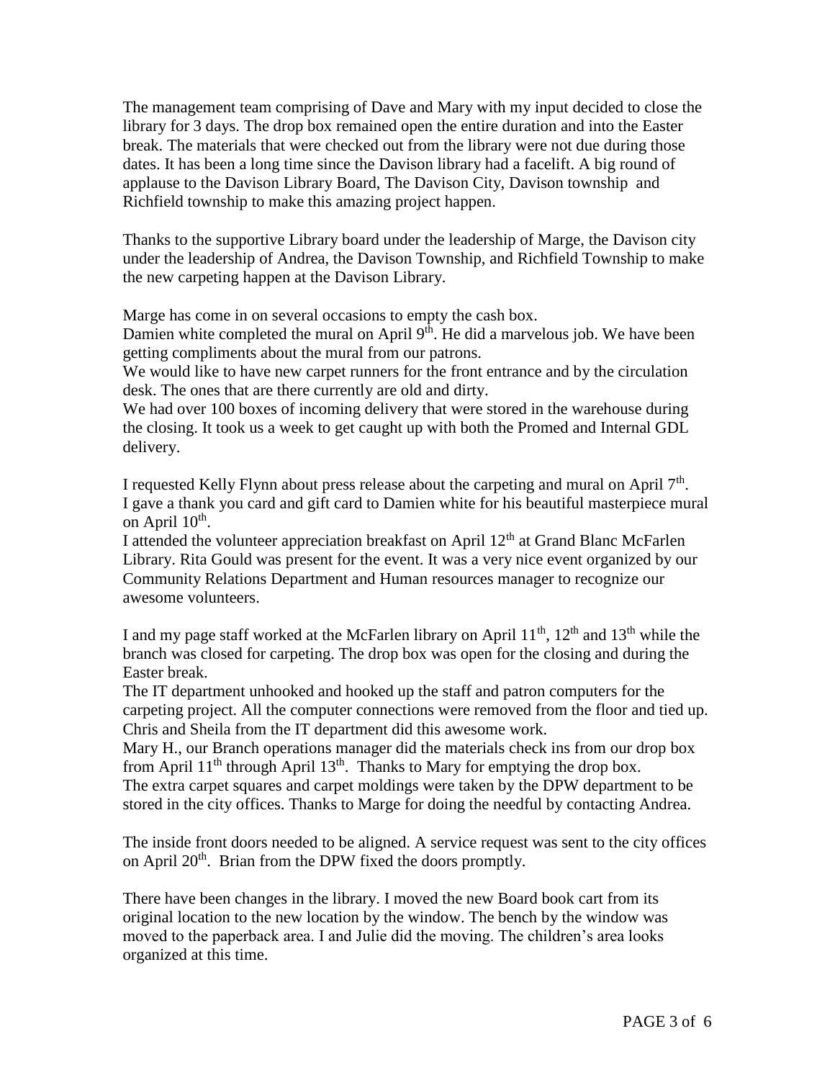The management team comprising of Dave and Mary with my input decided to close the library for 3 days. The drop box remained open the entire duration and into the Easter break. The materials that were checked out from the library were not due during those dates. It has been a long time since the Davison library had a facelift. A big round of applause to the Davison Library Board, The Davison City, Davison township and Richfield township to make this amazing project happen.

Thanks to the supportive Library board under the leadership of Marge, the Davison city under the leadership of Andrea, the Davison Township, and Richfield Township to make the new carpeting happen at the Davison Library.

Marge has come in on several occasions to empty the cash box.

Damien white completed the mural on April  $9<sup>th</sup>$ . He did a marvelous job. We have been getting compliments about the mural from our patrons.

We would like to have new carpet runners for the front entrance and by the circulation desk. The ones that are there currently are old and dirty.

We had over 100 boxes of incoming delivery that were stored in the warehouse during the closing. It took us a week to get caught up with both the Promed and Internal GDL delivery.

I requested Kelly Flynn about press release about the carpeting and mural on April 7<sup>th</sup>. I gave a thank you card and gift card to Damien white for his beautiful masterpiece mural on April 10<sup>th</sup>.

I attended the volunteer appreciation breakfast on April 12<sup>th</sup> at Grand Blanc McFarlen Library. Rita Gould was present for the event. It was a very nice event organized by our Community Relations Department and Human resources manager to recognize our awesome volunteers.

I and my page staff worked at the McFarlen library on April  $11^{th}$ ,  $12^{th}$  and  $13^{th}$  while the branch was closed for carpeting. The drop box was open for the closing and during the Easter break.

The IT department unhooked and hooked up the staff and patron computers for the carpeting project. All the computer connections were removed from the floor and tied up. Chris and Sheila from the IT department did this awesome work.

Mary H., our Branch operations manager did the materials check ins from our drop box from April  $11<sup>th</sup>$  through April  $13<sup>th</sup>$ . Thanks to Mary for emptying the drop box. The extra carpet squares and carpet moldings were taken by the DPW department to be stored in the city offices. Thanks to Marge for doing the needful by contacting Andrea.

The inside front doors needed to be aligned. A service request was sent to the city offices on April 20<sup>th</sup>. Brian from the DPW fixed the doors promptly.

There have been changes in the library. I moved the new Board book cart from its original location to the new location by the window. The bench by the window was moved to the paperback area. I and Julie did the moving. The children's area looks organized at this time.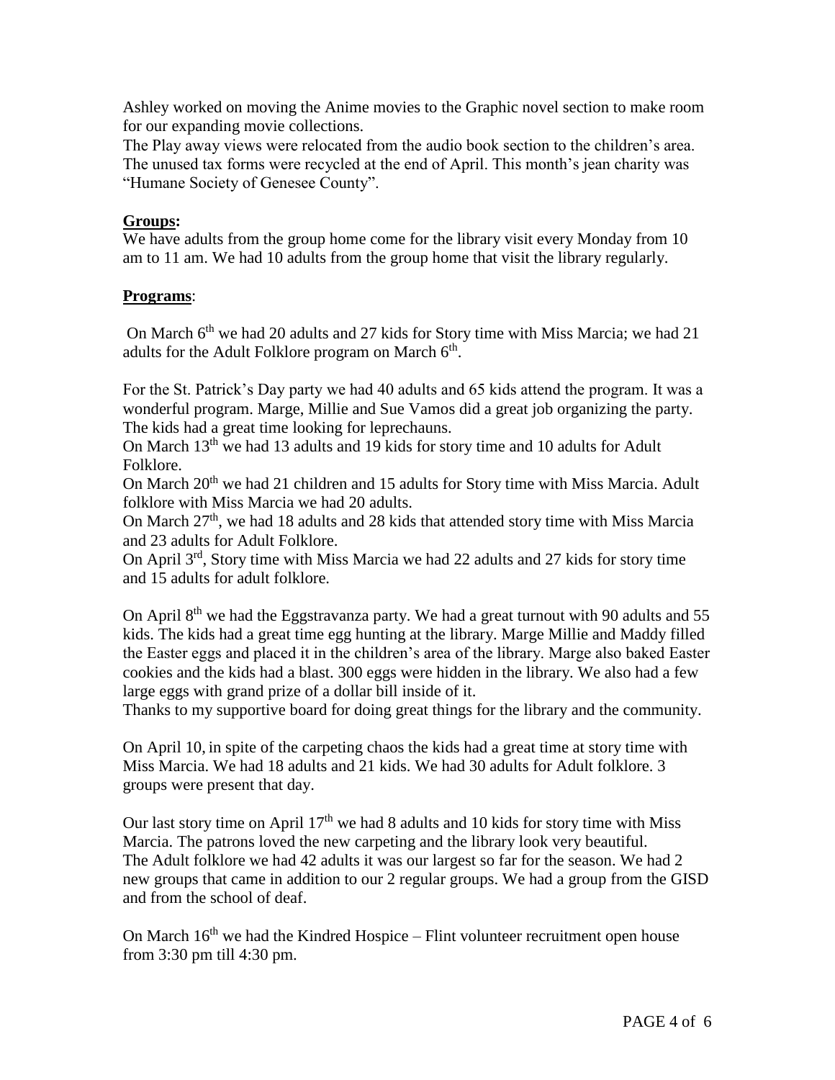Ashley worked on moving the Anime movies to the Graphic novel section to make room for our expanding movie collections.

The Play away views were relocated from the audio book section to the children's area. The unused tax forms were recycled at the end of April. This month's jean charity was "Humane Society of Genesee County".

## **Groups:**

We have adults from the group home come for the library visit every Monday from 10 am to 11 am. We had 10 adults from the group home that visit the library regularly.

# **Programs**:

On March  $6<sup>th</sup>$  we had 20 adults and 27 kids for Story time with Miss Marcia; we had 21 adults for the Adult Folklore program on March  $6<sup>th</sup>$ .

For the St. Patrick's Day party we had 40 adults and 65 kids attend the program. It was a wonderful program. Marge, Millie and Sue Vamos did a great job organizing the party. The kids had a great time looking for leprechauns.

On March 13<sup>th</sup> we had 13 adults and 19 kids for story time and 10 adults for Adult Folklore.

On March 20<sup>th</sup> we had 21 children and 15 adults for Story time with Miss Marcia. Adult folklore with Miss Marcia we had 20 adults.

On March  $27<sup>th</sup>$ , we had 18 adults and 28 kids that attended story time with Miss Marcia and 23 adults for Adult Folklore.

On April 3rd, Story time with Miss Marcia we had 22 adults and 27 kids for story time and 15 adults for adult folklore.

On April 8<sup>th</sup> we had the Eggstravanza party. We had a great turnout with 90 adults and 55 kids. The kids had a great time egg hunting at the library. Marge Millie and Maddy filled the Easter eggs and placed it in the children's area of the library. Marge also baked Easter cookies and the kids had a blast. 300 eggs were hidden in the library. We also had a few large eggs with grand prize of a dollar bill inside of it.

Thanks to my supportive board for doing great things for the library and the community.

On April 10, in spite of the carpeting chaos the kids had a great time at story time with Miss Marcia. We had 18 adults and 21 kids. We had 30 adults for Adult folklore. 3 groups were present that day.

Our last story time on April  $17<sup>th</sup>$  we had 8 adults and 10 kids for story time with Miss Marcia. The patrons loved the new carpeting and the library look very beautiful. The Adult folklore we had 42 adults it was our largest so far for the season. We had 2 new groups that came in addition to our 2 regular groups. We had a group from the GISD and from the school of deaf.

On March  $16<sup>th</sup>$  we had the Kindred Hospice – Flint volunteer recruitment open house from 3:30 pm till 4:30 pm.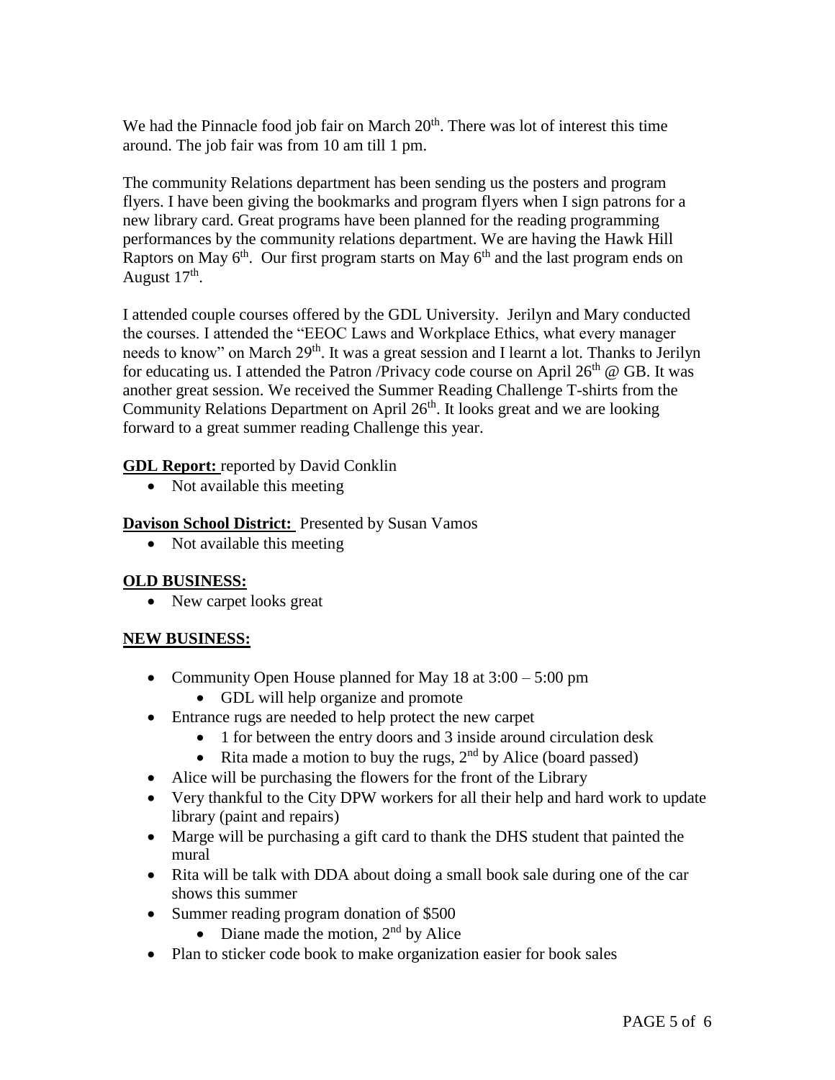We had the Pinnacle food job fair on March  $20<sup>th</sup>$ . There was lot of interest this time around. The job fair was from 10 am till 1 pm.

The community Relations department has been sending us the posters and program flyers. I have been giving the bookmarks and program flyers when I sign patrons for a new library card. Great programs have been planned for the reading programming performances by the community relations department. We are having the Hawk Hill Raptors on May  $6<sup>th</sup>$ . Our first program starts on May  $6<sup>th</sup>$  and the last program ends on August  $17<sup>th</sup>$ .

I attended couple courses offered by the GDL University. Jerilyn and Mary conducted the courses. I attended the "EEOC Laws and Workplace Ethics, what every manager needs to know" on March 29<sup>th</sup>. It was a great session and I learnt a lot. Thanks to Jerilyn for educating us. I attended the Patron /Privacy code course on April  $26<sup>th</sup>$  @ GB. It was another great session. We received the Summer Reading Challenge T-shirts from the Community Relations Department on April  $26<sup>th</sup>$ . It looks great and we are looking forward to a great summer reading Challenge this year.

#### **GDL Report:** reported by David Conklin

• Not available this meeting

#### **Davison School District:** Presented by Susan Vamos

• Not available this meeting

#### **OLD BUSINESS:**

• New carpet looks great

## **NEW BUSINESS:**

- Community Open House planned for May 18 at  $3:00 5:00$  pm
	- GDL will help organize and promote
- Entrance rugs are needed to help protect the new carpet
	- 1 for between the entry doors and 3 inside around circulation desk
	- Rita made a motion to buy the rugs,  $2<sup>nd</sup>$  by Alice (board passed)
- Alice will be purchasing the flowers for the front of the Library
- Very thankful to the City DPW workers for all their help and hard work to update library (paint and repairs)
- Marge will be purchasing a gift card to thank the DHS student that painted the mural
- Rita will be talk with DDA about doing a small book sale during one of the car shows this summer
- Summer reading program donation of \$500
	- Diane made the motion,  $2<sup>nd</sup>$  by Alice
- Plan to sticker code book to make organization easier for book sales